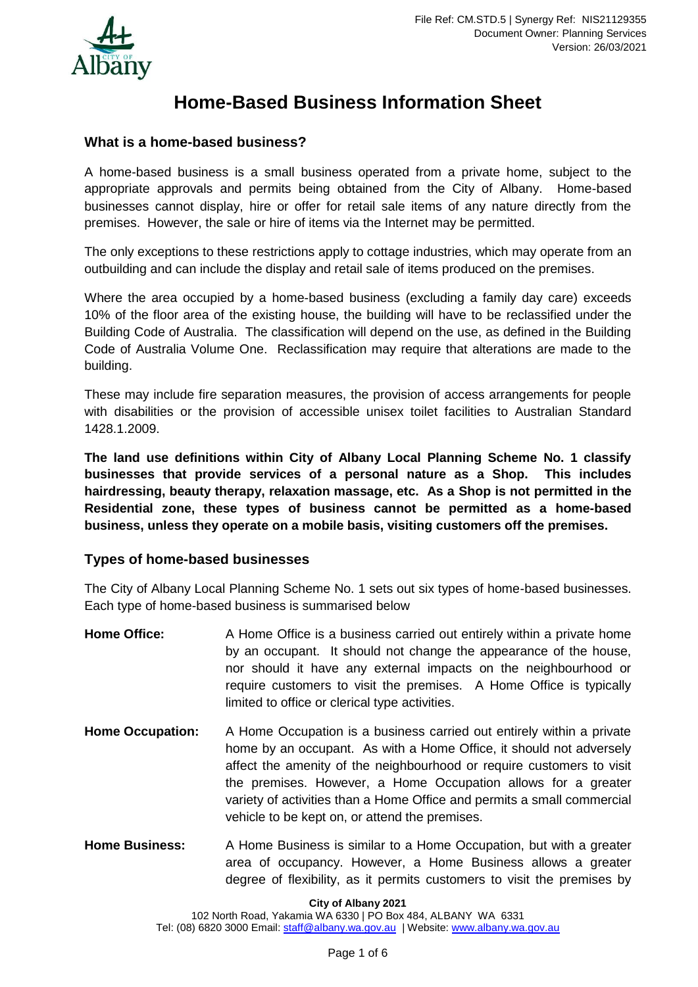

# **Home-Based Business Information Sheet**

# **What is a home-based business?**

A home-based business is a small business operated from a private home, subject to the appropriate approvals and permits being obtained from the City of Albany. Home-based businesses cannot display, hire or offer for retail sale items of any nature directly from the premises. However, the sale or hire of items via the Internet may be permitted.

The only exceptions to these restrictions apply to cottage industries, which may operate from an outbuilding and can include the display and retail sale of items produced on the premises.

Where the area occupied by a home-based business (excluding a family day care) exceeds 10% of the floor area of the existing house, the building will have to be reclassified under the Building Code of Australia. The classification will depend on the use, as defined in the Building Code of Australia Volume One. Reclassification may require that alterations are made to the building.

These may include fire separation measures, the provision of access arrangements for people with disabilities or the provision of accessible unisex toilet facilities to Australian Standard 1428.1.2009.

**The land use definitions within City of Albany Local Planning Scheme No. 1 classify businesses that provide services of a personal nature as a Shop. This includes hairdressing, beauty therapy, relaxation massage, etc. As a Shop is not permitted in the Residential zone, these types of business cannot be permitted as a home-based business, unless they operate on a mobile basis, visiting customers off the premises.**

# **Types of home-based businesses**

The City of Albany Local Planning Scheme No. 1 sets out six types of home-based businesses. Each type of home-based business is summarised below

- Home Office: A Home Office is a business carried out entirely within a private home by an occupant. It should not change the appearance of the house, nor should it have any external impacts on the neighbourhood or require customers to visit the premises. A Home Office is typically limited to office or clerical type activities.
- **Home Occupation:** A Home Occupation is a business carried out entirely within a private home by an occupant. As with a Home Office, it should not adversely affect the amenity of the neighbourhood or require customers to visit the premises. However, a Home Occupation allows for a greater variety of activities than a Home Office and permits a small commercial vehicle to be kept on, or attend the premises.
- **Home Business:** A Home Business is similar to a Home Occupation, but with a greater area of occupancy. However, a Home Business allows a greater degree of flexibility, as it permits customers to visit the premises by

**City of Albany 2021**

102 North Road, Yakamia WA 6330 | PO Box 484, ALBANY WA 6331 Tel: (08) 6820 3000 Email: [staff@albany.wa.gov.au](mailto:staff@albany.wa.gov.au) | Website: [www.albany.wa.gov.au](http://www.albany.wa.gov.au/)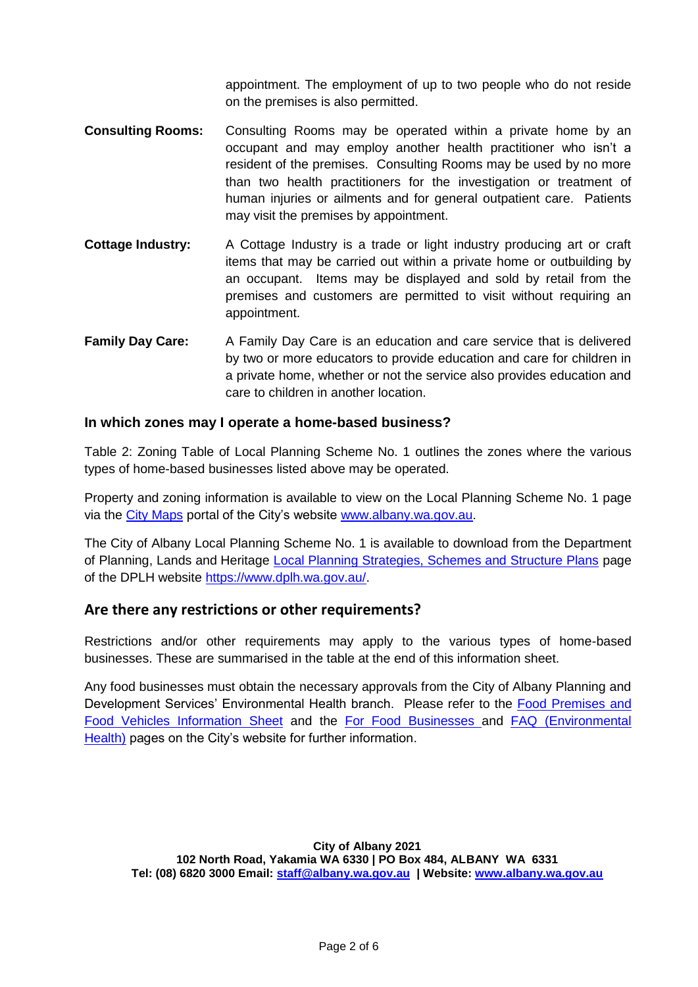appointment. The employment of up to two people who do not reside on the premises is also permitted.

- **Consulting Rooms:** Consulting Rooms may be operated within a private home by an occupant and may employ another health practitioner who isn't a resident of the premises. Consulting Rooms may be used by no more than two health practitioners for the investigation or treatment of human injuries or ailments and for general outpatient care. Patients may visit the premises by appointment.
- **Cottage Industry:** A Cottage Industry is a trade or light industry producing art or craft items that may be carried out within a private home or outbuilding by an occupant. Items may be displayed and sold by retail from the premises and customers are permitted to visit without requiring an appointment.
- **Family Day Care:** A Family Day Care is an education and care service that is delivered by two or more educators to provide education and care for children in a private home, whether or not the service also provides education and care to children in another location.

#### **In which zones may I operate a home-based business?**

Table 2: Zoning Table of Local Planning Scheme No. 1 outlines the zones where the various types of home-based businesses listed above may be operated.

Property and zoning information is available to view on the Local Planning Scheme No. 1 page via the [City Maps](https://albanywa.maps.arcgis.com/home/index.html) portal of the City's website [www.albany.wa.gov.au.](http://www.albany.wa.gov.au/)

The City of Albany Local Planning Scheme No. 1 is available to download from the Department of Planning, Lands and Heritage [Local Planning Strategies, Schemes and Structure Plans](https://www.dplh.wa.gov.au/albany) page of the DPLH website [https://www.dplh.wa.gov.au/.](https://www.dplh.wa.gov.au/)

# **Are there any restrictions or other requirements?**

Restrictions and/or other requirements may apply to the various types of home-based businesses. These are summarised in the table at the end of this information sheet.

Any food businesses must obtain the necessary approvals from the City of Albany Planning and Development Services' Environmental Health branch. Please refer to the Food Premises and [Food Vehicles Information Sheet](https://www.albany.wa.gov.au/documents/260/health-food-premises-and-food-vehicles-information-pack) and the [For Food Businesses a](https://www.albany.wa.gov.au/services/environmental-health/for-food-businesses-residents-and-business.aspx)nd [FAQ \(Environmental](https://www.albany.wa.gov.au/services/environmental-health/faq-health-safety.aspx)  [Health\)](https://www.albany.wa.gov.au/services/environmental-health/faq-health-safety.aspx) pages on the City's website for further information.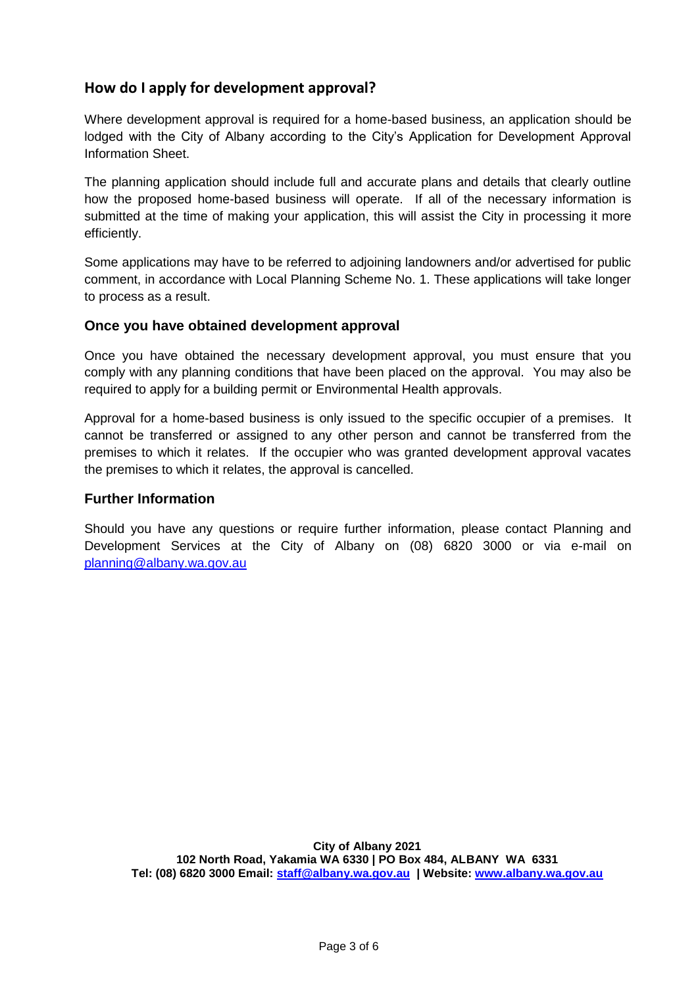# **How do I apply for development approval?**

Where development approval is required for a home-based business, an application should be lodged with the City of Albany according to the City's Application for Development Approval Information Sheet.

The planning application should include full and accurate plans and details that clearly outline how the proposed home-based business will operate. If all of the necessary information is submitted at the time of making your application, this will assist the City in processing it more efficiently.

Some applications may have to be referred to adjoining landowners and/or advertised for public comment, in accordance with Local Planning Scheme No. 1. These applications will take longer to process as a result.

#### **Once you have obtained development approval**

Once you have obtained the necessary development approval, you must ensure that you comply with any planning conditions that have been placed on the approval. You may also be required to apply for a building permit or Environmental Health approvals.

Approval for a home-based business is only issued to the specific occupier of a premises. It cannot be transferred or assigned to any other person and cannot be transferred from the premises to which it relates. If the occupier who was granted development approval vacates the premises to which it relates, the approval is cancelled.

#### **Further Information**

Should you have any questions or require further information, please contact Planning and Development Services at the City of Albany on (08) 6820 3000 or via e-mail on [planning@albany.wa.gov.au](mailto:planning@albany.wa.gov.au)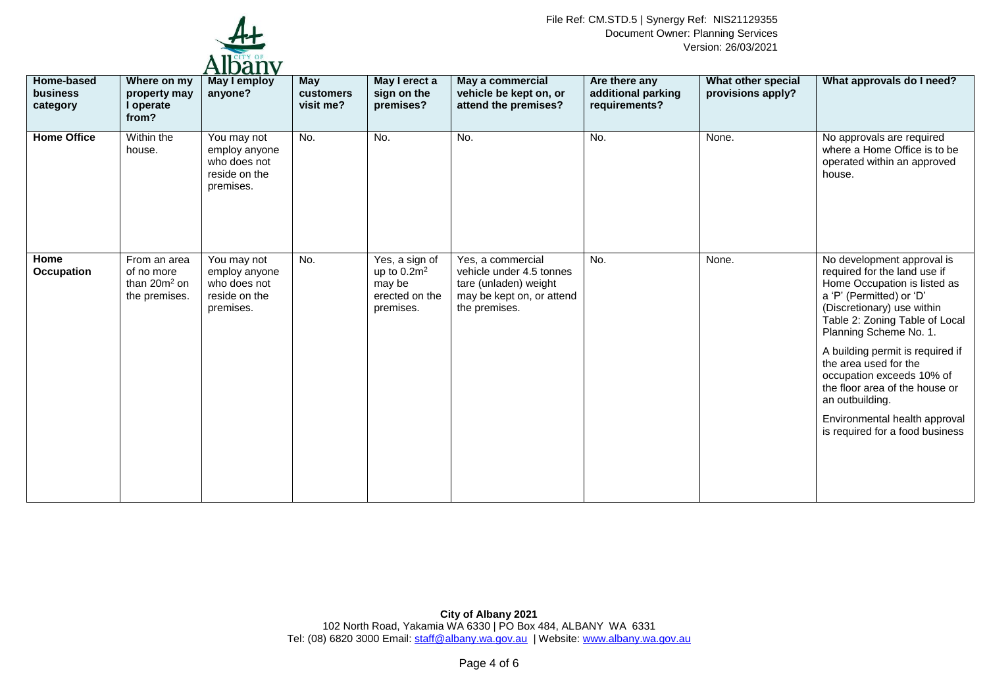

| Home-based<br><b>business</b><br>category | Where on my<br>property may<br>I operate                       | <b>TILIUMII V</b><br>May I employ<br>anyone?                               | May<br>customers<br>visit me? | May I erect a<br>sign on the<br>premises?                                 | May a commercial<br>vehicle be kept on, or<br>attend the premises?                                                   | Are there any<br>additional parking<br>requirements? | What other special<br>provisions apply? | What approvals do I need?                                                                                                                                                                                                                                                                                                                                                                                                           |
|-------------------------------------------|----------------------------------------------------------------|----------------------------------------------------------------------------|-------------------------------|---------------------------------------------------------------------------|----------------------------------------------------------------------------------------------------------------------|------------------------------------------------------|-----------------------------------------|-------------------------------------------------------------------------------------------------------------------------------------------------------------------------------------------------------------------------------------------------------------------------------------------------------------------------------------------------------------------------------------------------------------------------------------|
| <b>Home Office</b>                        | from?<br>Within the<br>house.                                  | You may not<br>employ anyone<br>who does not<br>reside on the<br>premises. | No.                           | No.                                                                       | No.                                                                                                                  | No.                                                  | None.                                   | No approvals are required<br>where a Home Office is to be<br>operated within an approved<br>house.                                                                                                                                                                                                                                                                                                                                  |
| Home<br><b>Occupation</b>                 | From an area<br>of no more<br>than $20m^2$ on<br>the premises. | You may not<br>employ anyone<br>who does not<br>reside on the<br>premises. | No.                           | Yes, a sign of<br>up to $0.2m^2$<br>may be<br>erected on the<br>premises. | Yes, a commercial<br>vehicle under 4.5 tonnes<br>tare (unladen) weight<br>may be kept on, or attend<br>the premises. | No.                                                  | None.                                   | No development approval is<br>required for the land use if<br>Home Occupation is listed as<br>a 'P' (Permitted) or 'D'<br>(Discretionary) use within<br>Table 2: Zoning Table of Local<br>Planning Scheme No. 1.<br>A building permit is required if<br>the area used for the<br>occupation exceeds 10% of<br>the floor area of the house or<br>an outbuilding.<br>Environmental health approval<br>is required for a food business |
|                                           |                                                                |                                                                            |                               |                                                                           |                                                                                                                      |                                                      |                                         |                                                                                                                                                                                                                                                                                                                                                                                                                                     |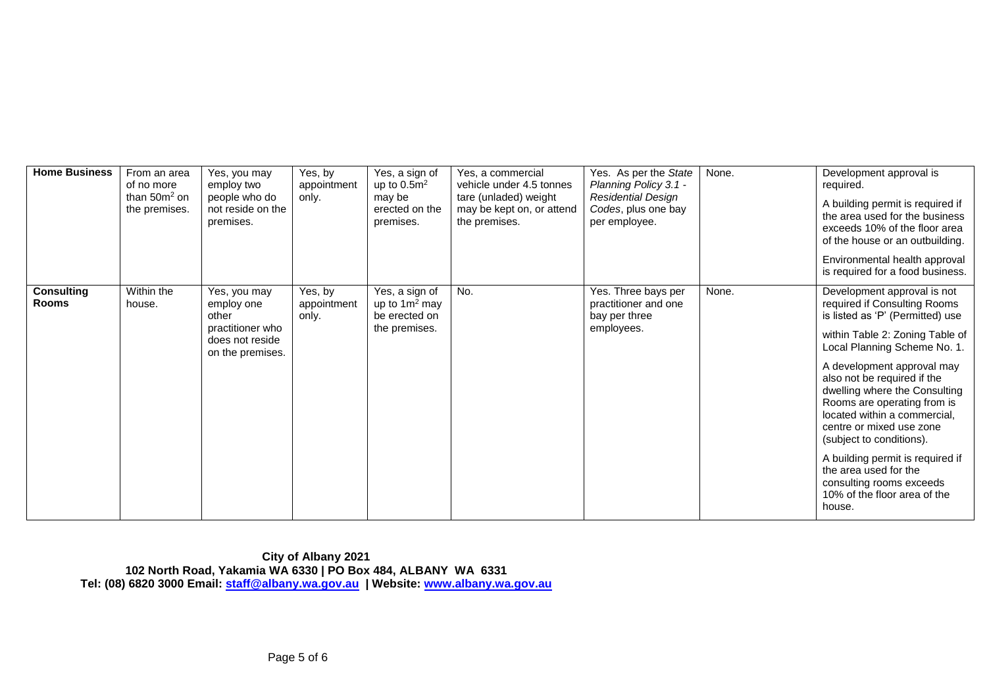| <b>Home Business</b>              | From an area<br>of no more<br>than $50m^2$ on<br>the premises. | Yes, you may<br>employ two<br>people who do<br>not reside on the<br>premises.                  | Yes, by<br>appointment<br>only. | Yes, a sign of<br>up to $0.5m2$<br>may be<br>erected on the<br>premises. | Yes, a commercial<br>vehicle under 4.5 tonnes<br>tare (unladed) weight<br>may be kept on, or attend<br>the premises. | Yes. As per the State<br>Planning Policy 3.1 -<br><b>Residential Design</b><br>Codes, plus one bay<br>per employee. | None. | Development approval is<br>required.<br>A building permit is required if<br>the area used for the business<br>exceeds 10% of the floor area<br>of the house or an outbuilding.<br>Environmental health approval<br>is required for a food business.                                                                                                                                                                                                                                                                        |
|-----------------------------------|----------------------------------------------------------------|------------------------------------------------------------------------------------------------|---------------------------------|--------------------------------------------------------------------------|----------------------------------------------------------------------------------------------------------------------|---------------------------------------------------------------------------------------------------------------------|-------|----------------------------------------------------------------------------------------------------------------------------------------------------------------------------------------------------------------------------------------------------------------------------------------------------------------------------------------------------------------------------------------------------------------------------------------------------------------------------------------------------------------------------|
| <b>Consulting</b><br><b>Rooms</b> | Within the<br>house.                                           | Yes, you may<br>employ one<br>other<br>practitioner who<br>does not reside<br>on the premises. | Yes, by<br>appointment<br>only. | Yes, a sign of<br>up to $1m^2$ may<br>be erected on<br>the premises.     | No.                                                                                                                  | Yes. Three bays per<br>practitioner and one<br>bay per three<br>employees.                                          | None. | Development approval is not<br>required if Consulting Rooms<br>is listed as 'P' (Permitted) use<br>within Table 2: Zoning Table of<br>Local Planning Scheme No. 1.<br>A development approval may<br>also not be required if the<br>dwelling where the Consulting<br>Rooms are operating from is<br>located within a commercial,<br>centre or mixed use zone<br>(subject to conditions).<br>A building permit is required if<br>the area used for the<br>consulting rooms exceeds<br>10% of the floor area of the<br>house. |

**City of Albany 2021 102 North Road, Yakamia WA 6330 | PO Box 484, ALBANY WA 6331 Tel: (08) 6820 3000 Email: [staff@albany.wa.gov.au](mailto:staff@albany.wa.gov.au) | Website: [www.albany.wa.gov.au](http://www.albany.wa.gov.au/)**